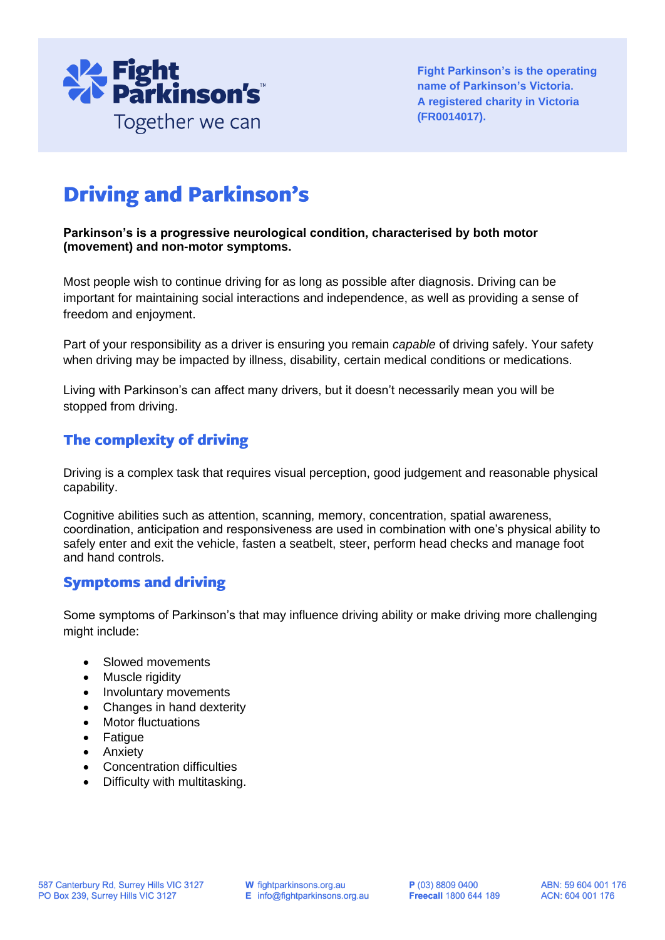

**Fight Parkinson's is the operating name of Parkinson's Victoria. A registered charity in Victoria (FR0014017).**

# **Driving and Parkinson's**

#### **Parkinson's is a progressive neurological condition, characterised by both motor (movement) and non-motor symptoms.**

Most people wish to continue driving for as long as possible after diagnosis. Driving can be important for maintaining social interactions and independence, as well as providing a sense of freedom and enjoyment.

Part of your responsibility as a driver is ensuring you remain *capable* of driving safely. Your safety when driving may be impacted by illness, disability, certain medical conditions or medications.

Living with Parkinson's can affect many drivers, but it doesn't necessarily mean you will be stopped from driving.

# The complexity of driving

Driving is a complex task that requires visual perception, good judgement and reasonable physical capability.

Cognitive abilities such as attention, scanning, memory, concentration, spatial awareness, coordination, anticipation and responsiveness are used in combination with one's physical ability to safely enter and exit the vehicle, fasten a seatbelt, steer, perform head checks and manage foot and hand controls.

# **Symptoms and driving**

Some symptoms of Parkinson's that may influence driving ability or make driving more challenging might include:

- Slowed movements
- Muscle rigidity
- Involuntary movements
- Changes in hand dexterity
- Motor fluctuations
- Fatigue
- Anxiety
- Concentration difficulties
- Difficulty with multitasking.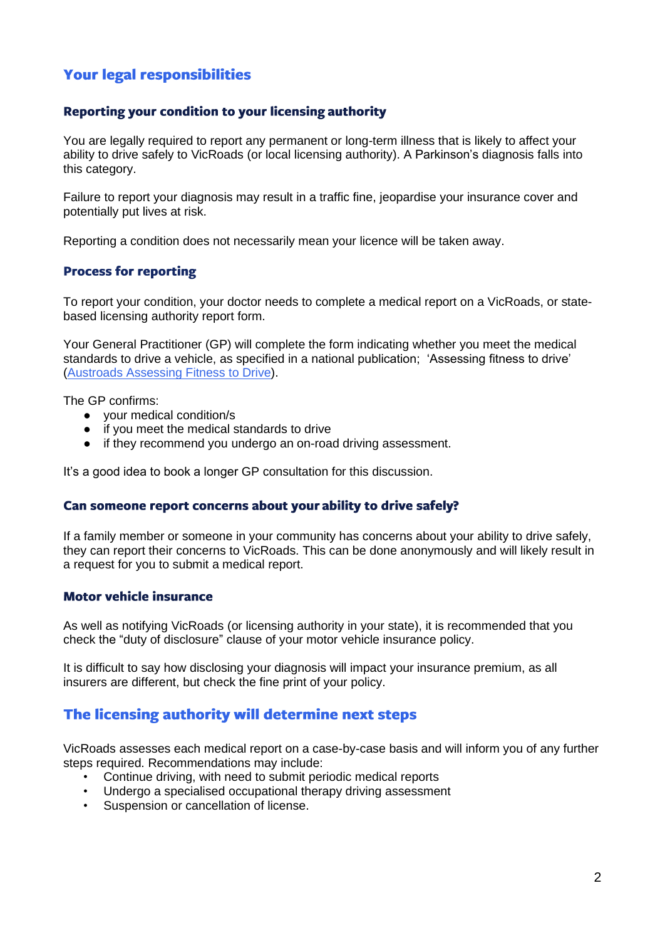# **Your legal responsibilities**

#### Reporting your condition to your licensing authority

You are legally required to report any permanent or long-term illness that is likely to affect your ability to drive safely to VicRoads (or local licensing authority). A Parkinson's diagnosis falls into this category.

Failure to report your diagnosis may result in a traffic fine, jeopardise your insurance cover and potentially put lives at risk.

Reporting a condition does not necessarily mean your licence will be taken away.

#### **Process for reporting**

To report your condition, your doctor needs to complete a medical report on a VicRoads, or statebased licensing authority report form.

Your General Practitioner (GP) will complete the form indicating whether you meet the medical standards to drive a vehicle, as specified in a national publication; 'Assessing fitness to drive' [\(Austroads Assessing Fitness to Drive\)](https://austroads.com.au/drivers-and-vehicles/assessing-fitness-to-drive).

The GP confirms:

- your medical condition/s
- if you meet the medical standards to drive
- if they recommend you undergo an on-road driving assessment.

It's a good idea to book a longer GP consultation for this discussion.

#### Can someone report concerns about your ability to drive safely?

If a family member or someone in your community has concerns about your ability to drive safely, they can report their concerns to VicRoads. This can be done anonymously and will likely result in a request for you to submit a medical report.

#### **Motor vehicle insurance**

As well as notifying VicRoads (or licensing authority in your state), it is recommended that you check the "duty of disclosure" clause of your motor vehicle insurance policy.

It is difficult to say how disclosing your diagnosis will impact your insurance premium, as all insurers are different, but check the fine print of your policy.

## The licensing authority will determine next steps

VicRoads assesses each medical report on a case-by-case basis and will inform you of any further steps required. Recommendations may include:

- Continue driving, with need to submit periodic medical reports
- Undergo a specialised occupational therapy driving assessment<br>• Suspension or cancellation of license.
- Suspension or cancellation of license.